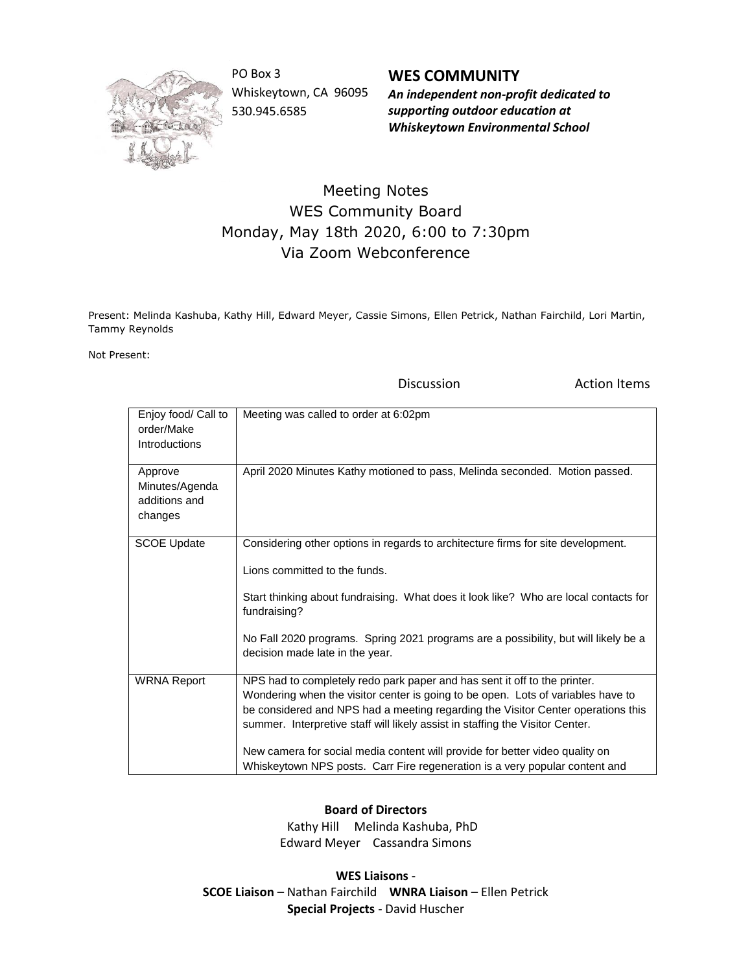

PO Box 3 Whiskeytown, CA 96095 530.945.6585

**WES COMMUNITY** *An independent non-profit dedicated to supporting outdoor education at Whiskeytown Environmental School*

## Meeting Notes WES Community Board Monday, May 18th 2020, 6:00 to 7:30pm Via Zoom Webconference

Present: Melinda Kashuba, Kathy Hill, Edward Meyer, Cassie Simons, Ellen Petrick, Nathan Fairchild, Lori Martin, Tammy Reynolds

Not Present:

Discussion **Action Items** 

| Enjoy food/ Call to<br>order/Make<br><b>Introductions</b> | Meeting was called to order at 6:02pm                                                                                                                                                                                                                                                                                                                                                                                                                                                             |
|-----------------------------------------------------------|---------------------------------------------------------------------------------------------------------------------------------------------------------------------------------------------------------------------------------------------------------------------------------------------------------------------------------------------------------------------------------------------------------------------------------------------------------------------------------------------------|
| Approve<br>Minutes/Agenda<br>additions and<br>changes     | April 2020 Minutes Kathy motioned to pass, Melinda seconded. Motion passed.                                                                                                                                                                                                                                                                                                                                                                                                                       |
| <b>SCOE Update</b>                                        | Considering other options in regards to architecture firms for site development.<br>Lions committed to the funds.<br>Start thinking about fundraising. What does it look like? Who are local contacts for<br>fundraising?<br>No Fall 2020 programs. Spring 2021 programs are a possibility, but will likely be a<br>decision made late in the year.                                                                                                                                               |
| <b>WRNA Report</b>                                        | NPS had to completely redo park paper and has sent it off to the printer.<br>Wondering when the visitor center is going to be open. Lots of variables have to<br>be considered and NPS had a meeting regarding the Visitor Center operations this<br>summer. Interpretive staff will likely assist in staffing the Visitor Center.<br>New camera for social media content will provide for better video quality on<br>Whiskeytown NPS posts. Carr Fire regeneration is a very popular content and |

## **Board of Directors**

 Kathy Hill Melinda Kashuba, PhD Edward Meyer Cassandra Simons

**WES Liaisons** - **SCOE Liaison** – Nathan Fairchild **WNRA Liaison** – Ellen Petrick **Special Projects** - David Huscher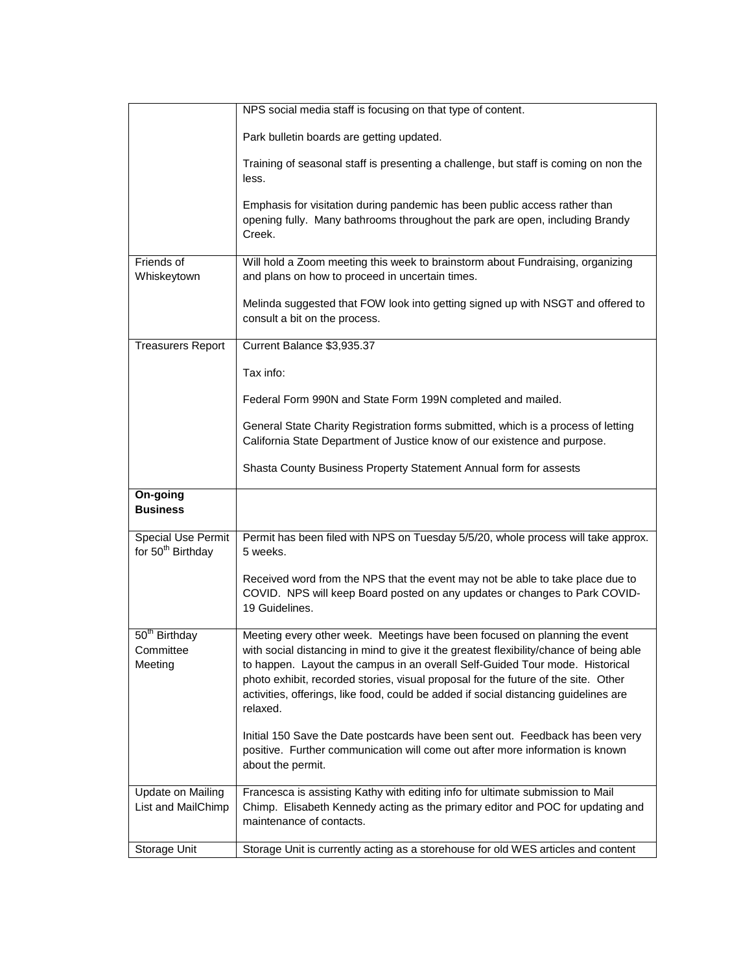|                                                            | NPS social media staff is focusing on that type of content.                                                                                                                                                                                                                                                                                                                                                                                     |
|------------------------------------------------------------|-------------------------------------------------------------------------------------------------------------------------------------------------------------------------------------------------------------------------------------------------------------------------------------------------------------------------------------------------------------------------------------------------------------------------------------------------|
|                                                            | Park bulletin boards are getting updated.                                                                                                                                                                                                                                                                                                                                                                                                       |
|                                                            | Training of seasonal staff is presenting a challenge, but staff is coming on non the<br>less.                                                                                                                                                                                                                                                                                                                                                   |
|                                                            | Emphasis for visitation during pandemic has been public access rather than<br>opening fully. Many bathrooms throughout the park are open, including Brandy<br>Creek.                                                                                                                                                                                                                                                                            |
| Friends of<br>Whiskeytown                                  | Will hold a Zoom meeting this week to brainstorm about Fundraising, organizing<br>and plans on how to proceed in uncertain times.                                                                                                                                                                                                                                                                                                               |
|                                                            | Melinda suggested that FOW look into getting signed up with NSGT and offered to<br>consult a bit on the process.                                                                                                                                                                                                                                                                                                                                |
| <b>Treasurers Report</b>                                   | Current Balance \$3,935.37                                                                                                                                                                                                                                                                                                                                                                                                                      |
|                                                            | Tax info:                                                                                                                                                                                                                                                                                                                                                                                                                                       |
|                                                            | Federal Form 990N and State Form 199N completed and mailed.                                                                                                                                                                                                                                                                                                                                                                                     |
|                                                            | General State Charity Registration forms submitted, which is a process of letting<br>California State Department of Justice know of our existence and purpose.                                                                                                                                                                                                                                                                                  |
|                                                            | Shasta County Business Property Statement Annual form for assests                                                                                                                                                                                                                                                                                                                                                                               |
| On-going<br><b>Business</b>                                |                                                                                                                                                                                                                                                                                                                                                                                                                                                 |
| <b>Special Use Permit</b><br>for 50 <sup>th</sup> Birthday | Permit has been filed with NPS on Tuesday 5/5/20, whole process will take approx.<br>5 weeks.                                                                                                                                                                                                                                                                                                                                                   |
|                                                            | Received word from the NPS that the event may not be able to take place due to<br>COVID. NPS will keep Board posted on any updates or changes to Park COVID-<br>19 Guidelines.                                                                                                                                                                                                                                                                  |
| 50 <sup>th</sup> Birthday<br>Committee<br>Meeting          | Meeting every other week. Meetings have been focused on planning the event<br>with social distancing in mind to give it the greatest flexibility/chance of being able<br>to happen. Layout the campus in an overall Self-Guided Tour mode. Historical<br>photo exhibit, recorded stories, visual proposal for the future of the site. Other<br>activities, offerings, like food, could be added if social distancing guidelines are<br>relaxed. |
|                                                            | Initial 150 Save the Date postcards have been sent out. Feedback has been very<br>positive. Further communication will come out after more information is known<br>about the permit.                                                                                                                                                                                                                                                            |
| Update on Mailing<br>List and MailChimp                    | Francesca is assisting Kathy with editing info for ultimate submission to Mail<br>Chimp. Elisabeth Kennedy acting as the primary editor and POC for updating and<br>maintenance of contacts.                                                                                                                                                                                                                                                    |
| Storage Unit                                               | Storage Unit is currently acting as a storehouse for old WES articles and content                                                                                                                                                                                                                                                                                                                                                               |